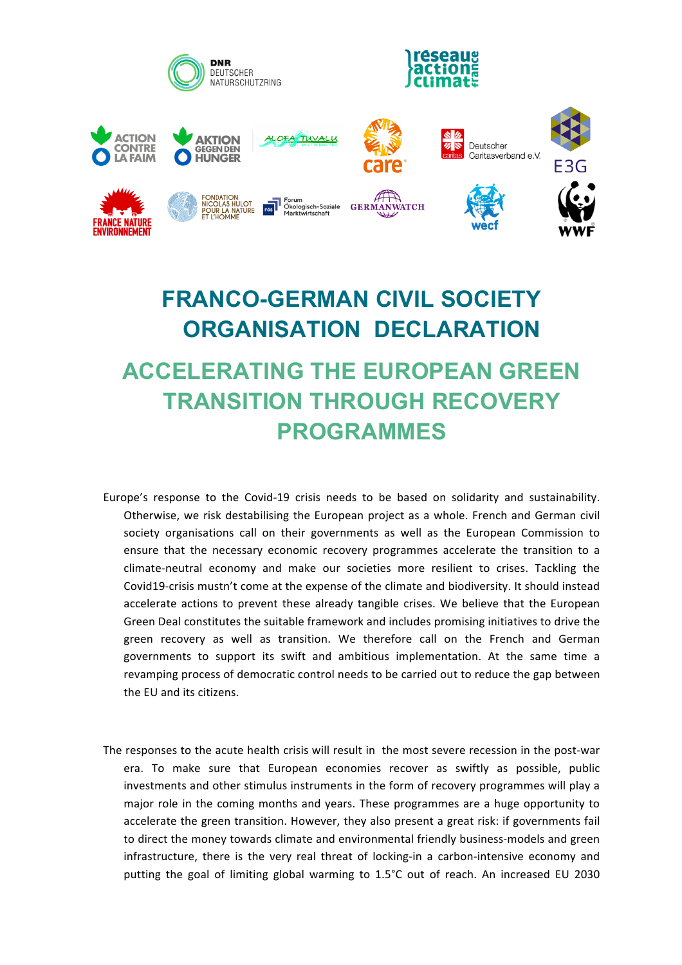

## **FRANCO-GERMAN CIVIL SOCIETY ORGANISATION DECLARATION ACCELERATING THE EUROPEAN GREEN TRANSITION THROUGH RECOVERY PROGRAMMES**

- Europe's response to the Covid-19 crisis needs to be based on solidarity and sustainability. Otherwise, we risk destabilising the European project as a whole. French and German civil society organisations call on their governments as well as the European Commission to ensure that the necessary economic recovery programmes accelerate the transition to a climate-neutral economy and make our societies more resilient to crises. Tackling the Covid19-crisis mustn't come at the expense of the climate and biodiversity. It should instead accelerate actions to prevent these already tangible crises. We believe that the European Green Deal constitutes the suitable framework and includes promising initiatives to drive the green recovery as well as transition. We therefore call on the French and German governments to support its swift and ambitious implementation. At the same time a revamping process of democratic control needs to be carried out to reduce the gap between the EU and its citizens.
- The responses to the acute health crisis will result in the most severe recession in the post-war era. To make sure that European economies recover as swiftly as possible, public investments and other stimulus instruments in the form of recovery programmes will play a major role in the coming months and years. These programmes are a huge opportunity to accelerate the green transition. However, they also present a great risk: if governments fail to direct the money towards climate and environmental friendly business-models and green infrastructure, there is the very real threat of locking-in a carbon-intensive economy and putting the goal of limiting global warming to 1.5°C out of reach. An increased EU 2030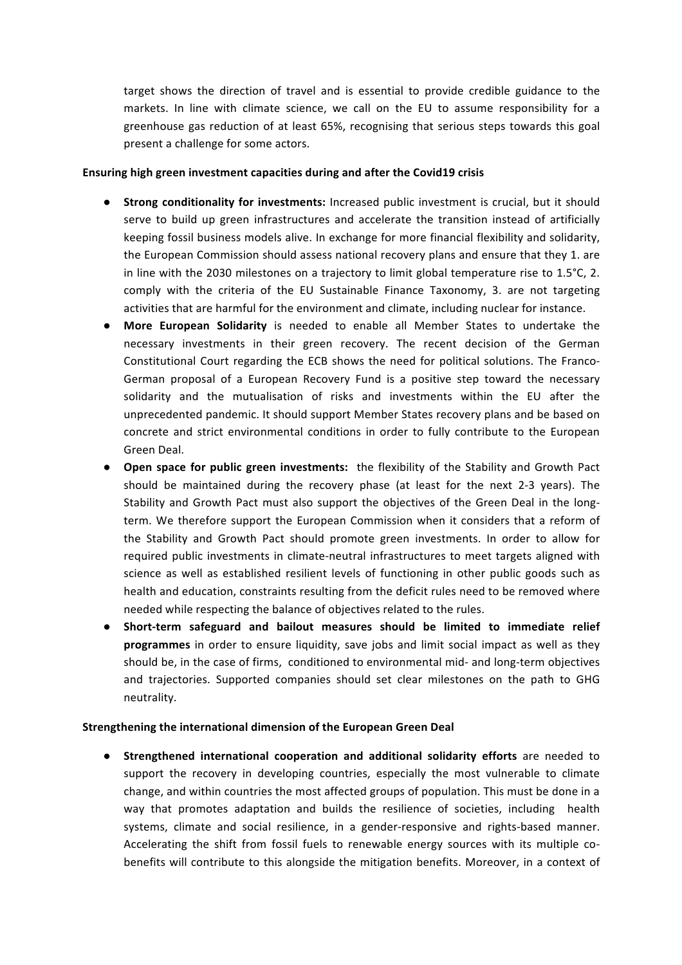target shows the direction of travel and is essential to provide credible guidance to the markets. In line with climate science, we call on the EU to assume responsibility for a greenhouse gas reduction of at least 65%, recognising that serious steps towards this goal present a challenge for some actors.

## **Ensuring high green investment capacities during and after the Covid19 crisis**

- **Strong conditionality for investments:** Increased public investment is crucial, but it should serve to build up green infrastructures and accelerate the transition instead of artificially keeping fossil business models alive. In exchange for more financial flexibility and solidarity, the European Commission should assess national recovery plans and ensure that they 1. are in line with the 2030 milestones on a trajectory to limit global temperature rise to  $1.5^{\circ}$ C, 2. comply with the criteria of the EU Sustainable Finance Taxonomy, 3. are not targeting activities that are harmful for the environment and climate, including nuclear for instance.
- **.** More European Solidarity is needed to enable all Member States to undertake the necessary investments in their green recovery. The recent decision of the German Constitutional Court regarding the ECB shows the need for political solutions. The Franco-German proposal of a European Recovery Fund is a positive step toward the necessary solidarity and the mutualisation of risks and investments within the EU after the unprecedented pandemic. It should support Member States recovery plans and be based on concrete and strict environmental conditions in order to fully contribute to the European Green Deal.
- Open space for public green investments: the flexibility of the Stability and Growth Pact should be maintained during the recovery phase (at least for the next 2-3 years). The Stability and Growth Pact must also support the objectives of the Green Deal in the longterm. We therefore support the European Commission when it considers that a reform of the Stability and Growth Pact should promote green investments. In order to allow for required public investments in climate-neutral infrastructures to meet targets aligned with science as well as established resilient levels of functioning in other public goods such as health and education, constraints resulting from the deficit rules need to be removed where needed while respecting the balance of objectives related to the rules.
- **Short-term safeguard and bailout measures should be limited to immediate relief programmes** in order to ensure liquidity, save jobs and limit social impact as well as they should be, in the case of firms, conditioned to environmental mid- and long-term objectives and trajectories. Supported companies should set clear milestones on the path to GHG neutrality.

## **Strengthening the international dimension of the European Green Deal**

**•** Strengthened international cooperation and additional solidarity efforts are needed to support the recovery in developing countries, especially the most vulnerable to climate change, and within countries the most affected groups of population. This must be done in a way that promotes adaptation and builds the resilience of societies, including health systems, climate and social resilience, in a gender-responsive and rights-based manner. Accelerating the shift from fossil fuels to renewable energy sources with its multiple cobenefits will contribute to this alongside the mitigation benefits. Moreover, in a context of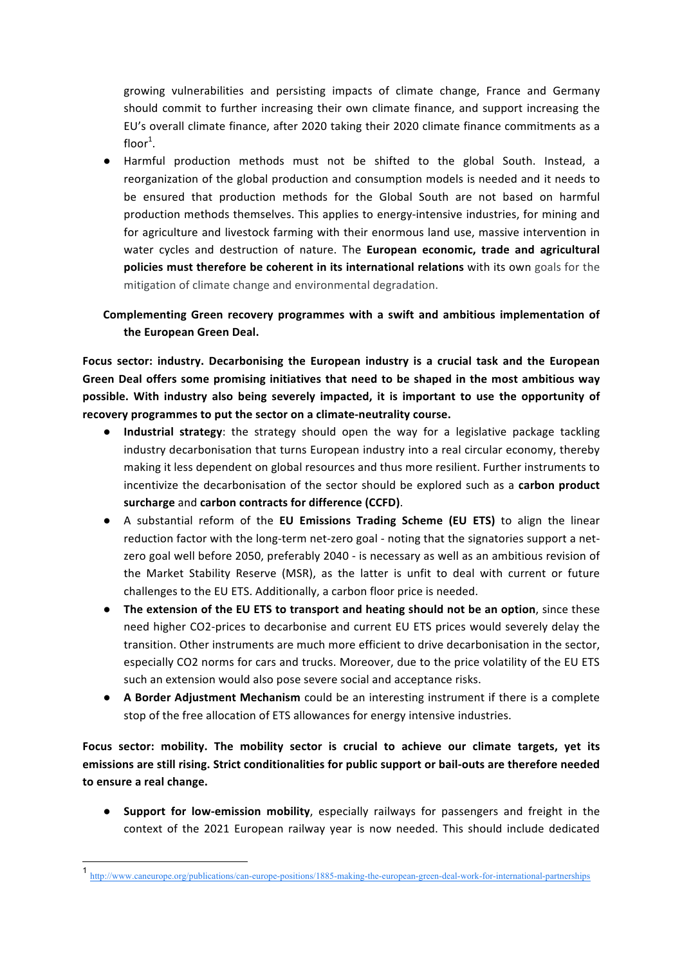growing vulnerabilities and persisting impacts of climate change, France and Germany should commit to further increasing their own climate finance, and support increasing the EU's overall climate finance, after 2020 taking their 2020 climate finance commitments as a floor $^1$ .

● Harmful production methods must not be shifted to the global South. Instead, a reorganization of the global production and consumption models is needed and it needs to be ensured that production methods for the Global South are not based on harmful production methods themselves. This applies to energy-intensive industries, for mining and for agriculture and livestock farming with their enormous land use, massive intervention in water cycles and destruction of nature. The **European economic, trade and agricultural policies must therefore be coherent in its international relations** with its own goals for the mitigation of climate change and environmental degradation.

## Complementing Green recovery programmes with a swift and ambitious implementation of the European Green Deal.

Focus sector: industry. Decarbonising the European industry is a crucial task and the European Green Deal offers some promising initiatives that need to be shaped in the most ambitious way possible. With industry also being severely impacted, it is important to use the opportunity of recovery programmes to put the sector on a climate-neutrality course.

- **.** Industrial strategy: the strategy should open the way for a legislative package tackling industry decarbonisation that turns European industry into a real circular economy, thereby making it less dependent on global resources and thus more resilient. Further instruments to incentivize the decarbonisation of the sector should be explored such as a carbon product surcharge and carbon contracts for difference (CCFD).
- A substantial reform of the **EU Emissions Trading Scheme (EU ETS)** to align the linear reduction factor with the long-term net-zero goal - noting that the signatories support a netzero goal well before 2050, preferably 2040 - is necessary as well as an ambitious revision of the Market Stability Reserve (MSR), as the latter is unfit to deal with current or future challenges to the EU ETS. Additionally, a carbon floor price is needed.
- The extension of the EU ETS to transport and heating should not be an option, since these need higher CO2-prices to decarbonise and current EU ETS prices would severely delay the transition. Other instruments are much more efficient to drive decarbonisation in the sector, especially CO2 norms for cars and trucks. Moreover, due to the price volatility of the EU ETS such an extension would also pose severe social and acceptance risks.
- **A Border Adjustment Mechanism** could be an interesting instrument if there is a complete stop of the free allocation of ETS allowances for energy intensive industries.

Focus sector: mobility. The mobility sector is crucial to achieve our climate targets, yet its emissions are still rising. Strict conditionalities for public support or bail-outs are therefore needed to ensure a real change.

**Support for low-emission mobility**, especially railways for passengers and freight in the context of the 2021 European railway year is now needed. This should include dedicated

 <sup>1</sup> http://www.caneurope.org/publications/can-europe-positions/1885-making-the-european-green-deal-work-for-international-partnerships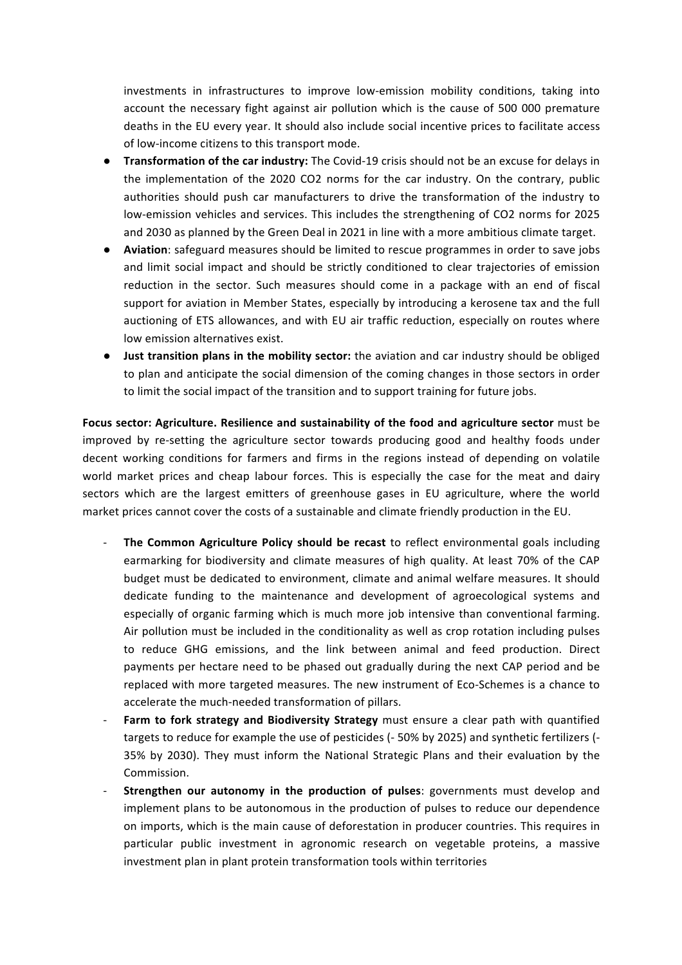investments in infrastructures to improve low-emission mobility conditions, taking into account the necessary fight against air pollution which is the cause of 500 000 premature deaths in the EU every year. It should also include social incentive prices to facilitate access of low-income citizens to this transport mode.

- **Transformation of the car industry:** The Covid-19 crisis should not be an excuse for delays in the implementation of the 2020 CO2 norms for the car industry. On the contrary, public authorities should push car manufacturers to drive the transformation of the industry to low-emission vehicles and services. This includes the strengthening of CO2 norms for 2025 and 2030 as planned by the Green Deal in 2021 in line with a more ambitious climate target.
- **Aviation**: safeguard measures should be limited to rescue programmes in order to save jobs and limit social impact and should be strictly conditioned to clear trajectories of emission reduction in the sector. Such measures should come in a package with an end of fiscal support for aviation in Member States, especially by introducing a kerosene tax and the full auctioning of ETS allowances, and with EU air traffic reduction, especially on routes where low emission alternatives exist.
- $\bullet$  **Just transition plans in the mobility sector:** the aviation and car industry should be obliged to plan and anticipate the social dimension of the coming changes in those sectors in order to limit the social impact of the transition and to support training for future jobs.

Focus sector: Agriculture. Resilience and sustainability of the food and agriculture sector must be improved by re-setting the agriculture sector towards producing good and healthy foods under decent working conditions for farmers and firms in the regions instead of depending on volatile world market prices and cheap labour forces. This is especially the case for the meat and dairy sectors which are the largest emitters of greenhouse gases in EU agriculture, where the world market prices cannot cover the costs of a sustainable and climate friendly production in the EU.

- **The Common Agriculture Policy should be recast** to reflect environmental goals including earmarking for biodiversity and climate measures of high quality. At least 70% of the CAP budget must be dedicated to environment, climate and animal welfare measures. It should dedicate funding to the maintenance and development of agroecological systems and especially of organic farming which is much more job intensive than conventional farming. Air pollution must be included in the conditionality as well as crop rotation including pulses to reduce GHG emissions, and the link between animal and feed production. Direct payments per hectare need to be phased out gradually during the next CAP period and be replaced with more targeted measures. The new instrument of Eco-Schemes is a chance to accelerate the much-needed transformation of pillars.
- **Farm to fork strategy and Biodiversity Strategy** must ensure a clear path with quantified targets to reduce for example the use of pesticides (-50% by 2025) and synthetic fertilizers (-35% by 2030). They must inform the National Strategic Plans and their evaluation by the Commission.
- **Strengthen our autonomy in the production of pulses**: governments must develop and implement plans to be autonomous in the production of pulses to reduce our dependence on imports, which is the main cause of deforestation in producer countries. This requires in particular public investment in agronomic research on vegetable proteins, a massive investment plan in plant protein transformation tools within territories